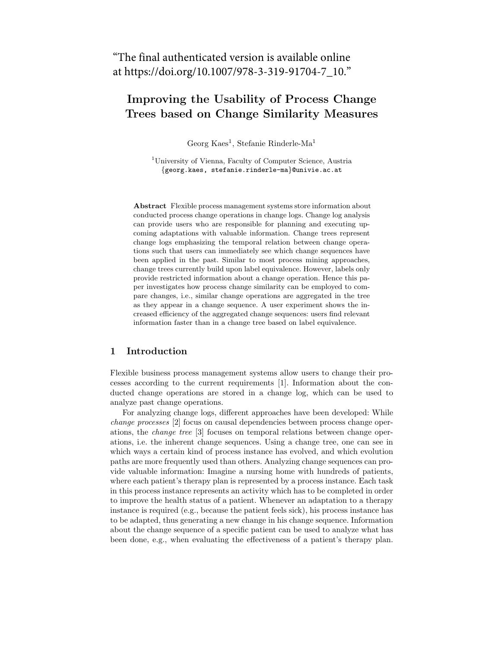# Improving the Usability of Process Change Trees based on Change Similarity Measures

Georg Kaes<sup>1</sup>, Stefanie Rinderle-Ma<sup>1</sup>

<sup>1</sup>University of Vienna, Faculty of Computer Science, Austria {georg.kaes, stefanie.rinderle-ma}@univie.ac.at

Abstract Flexible process management systems store information about conducted process change operations in change logs. Change log analysis can provide users who are responsible for planning and executing upcoming adaptations with valuable information. Change trees represent change logs emphasizing the temporal relation between change operations such that users can immediately see which change sequences have been applied in the past. Similar to most process mining approaches, change trees currently build upon label equivalence. However, labels only provide restricted information about a change operation. Hence this paper investigates how process change similarity can be employed to compare changes, i.e., similar change operations are aggregated in the tree as they appear in a change sequence. A user experiment shows the increased efficiency of the aggregated change sequences: users find relevant information faster than in a change tree based on label equivalence.

# 1 Introduction

Flexible business process management systems allow users to change their processes according to the current requirements [1]. Information about the conducted change operations are stored in a change log, which can be used to analyze past change operations.

For analyzing change logs, different approaches have been developed: While change processes [2] focus on causal dependencies between process change operations, the change tree [3] focuses on temporal relations between change operations, i.e. the inherent change sequences. Using a change tree, one can see in which ways a certain kind of process instance has evolved, and which evolution paths are more frequently used than others. Analyzing change sequences can provide valuable information: Imagine a nursing home with hundreds of patients, where each patient's therapy plan is represented by a process instance. Each task in this process instance represents an activity which has to be completed in order to improve the health status of a patient. Whenever an adaptation to a therapy instance is required (e.g., because the patient feels sick), his process instance has to be adapted, thus generating a new change in his change sequence. Information about the change sequence of a specific patient can be used to analyze what has been done, e.g., when evaluating the effectiveness of a patient's therapy plan.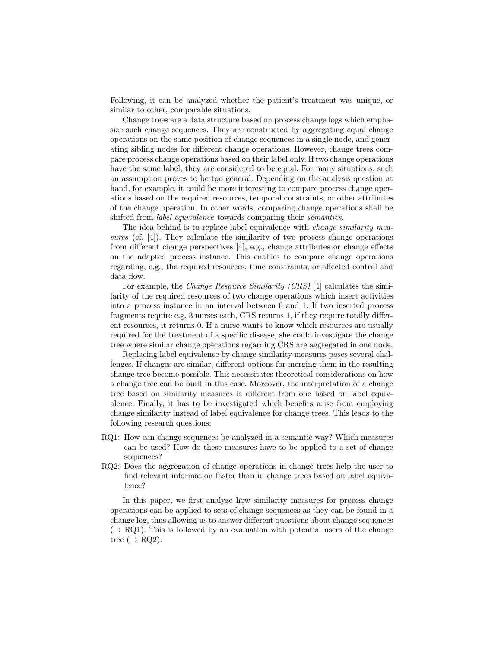Following, it can be analyzed whether the patient's treatment was unique, or similar to other, comparable situations.

Change trees are a data structure based on process change logs which emphasize such change sequences. They are constructed by aggregating equal change operations on the same position of change sequences in a single node, and generating sibling nodes for different change operations. However, change trees compare process change operations based on their label only. If two change operations have the same label, they are considered to be equal. For many situations, such an assumption proves to be too general. Depending on the analysis question at hand, for example, it could be more interesting to compare process change operations based on the required resources, temporal constraints, or other attributes of the change operation. In other words, comparing change operations shall be shifted from label equivalence towards comparing their semantics.

The idea behind is to replace label equivalence with *change similarity mea*sures (cf. [4]). They calculate the similarity of two process change operations from different change perspectives [4], e.g., change attributes or change effects on the adapted process instance. This enables to compare change operations regarding, e.g., the required resources, time constraints, or affected control and data flow.

For example, the Change Resource Similarity (CRS) [4] calculates the similarity of the required resources of two change operations which insert activities into a process instance in an interval between 0 and 1: If two inserted process fragments require e.g. 3 nurses each, CRS returns 1, if they require totally different resources, it returns 0. If a nurse wants to know which resources are usually required for the treatment of a specific disease, she could investigate the change tree where similar change operations regarding CRS are aggregated in one node.

Replacing label equivalence by change similarity measures poses several challenges. If changes are similar, different options for merging them in the resulting change tree become possible. This necessitates theoretical considerations on how a change tree can be built in this case. Moreover, the interpretation of a change tree based on similarity measures is different from one based on label equivalence. Finally, it has to be investigated which benefits arise from employing change similarity instead of label equivalence for change trees. This leads to the following research questions:

- RQ1: How can change sequences be analyzed in a semantic way? Which measures can be used? How do these measures have to be applied to a set of change sequences?
- RQ2: Does the aggregation of change operations in change trees help the user to find relevant information faster than in change trees based on label equivalence?

In this paper, we first analyze how similarity measures for process change operations can be applied to sets of change sequences as they can be found in a change log, thus allowing us to answer different questions about change sequences  $(\rightarrow$  RQ1). This is followed by an evaluation with potential users of the change tree  $(\rightarrow$  RQ2).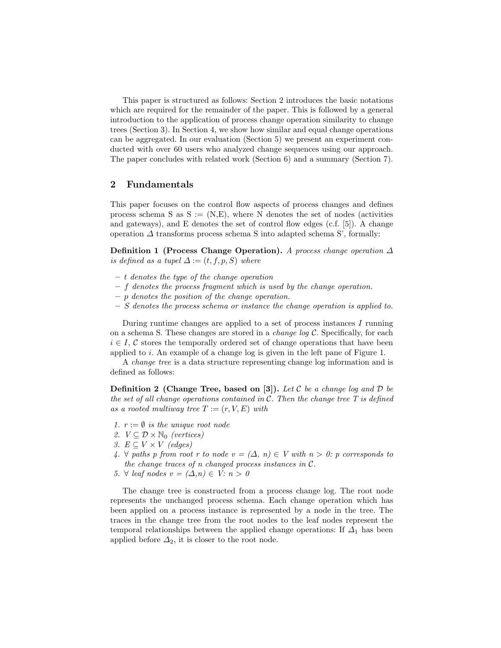This paper is structured as follows: Section 2 introduces the basic notations which are required for the remainder of the paper. This is followed by a general introduction to the application of process change operation similarity to change trees (Section 3). In Section 4, we show how similar and equal change operations can be aggregated. In our evaluation (Section 5) we present an experiment conducted with over 60 users who analyzed change sequences using our approach. The paper concludes with related work (Section 6) and a summary (Section 7).

# 2 Fundamentals

This paper focuses on the control flow aspects of process changes and defines process schema S as  $S := (N,E)$ , where N denotes the set of nodes (activities and gateways), and E denotes the set of control flow edges (c.f. [5]). A change operation  $\Delta$  transforms process schema S into adapted schema S', formally:

Definition 1 (Process Change Operation). A process change operation  $\Delta$ is defined as a tupel  $\Delta := (t, f, p, S)$  where

- $t$  denotes the type of the change operation
- f denotes the process fragment which is used by the change operation.
- p denotes the position of the change operation.
- $S$  denotes the process schema or instance the change operation is applied to.

During runtime changes are applied to a set of process instances I running on a schema S. These changes are stored in a *change log C*. Specifically, for each  $i \in I$ , C stores the temporally ordered set of change operations that have been applied to i. An example of a change log is given in the left pane of Figure 1.

A change tree is a data structure representing change log information and is defined as follows:

**Definition 2** (Change Tree, based on [3]). Let C be a change log and D be the set of all change operations contained in  $\mathcal C$ . Then the change tree T is defined as a rooted multiway tree  $T := (r, V, E)$  with

- 1.  $r := \emptyset$  is the unique root node
- 2.  $V \subseteq \mathcal{D} \times \mathbb{N}_0$  (vertices)
- 3.  $E \subseteq V \times V$  (edges)
- 4.  $\forall$  paths p from root r to node  $v = (\Delta, n) \in V$  with  $n > 0$ : p corresponds to the change traces of n changed process instances in  $\mathcal{C}$ .
- 5. ∀ leaf nodes  $v = (\Delta, n) \in V$ :  $n > 0$

The change tree is constructed from a process change log. The root node represents the unchanged process schema. Each change operation which has been applied on a process instance is represented by a node in the tree. The traces in the change tree from the root nodes to the leaf nodes represent the temporal relationships between the applied change operations: If  $\Delta_1$  has been applied before  $\Delta_2$ , it is closer to the root node.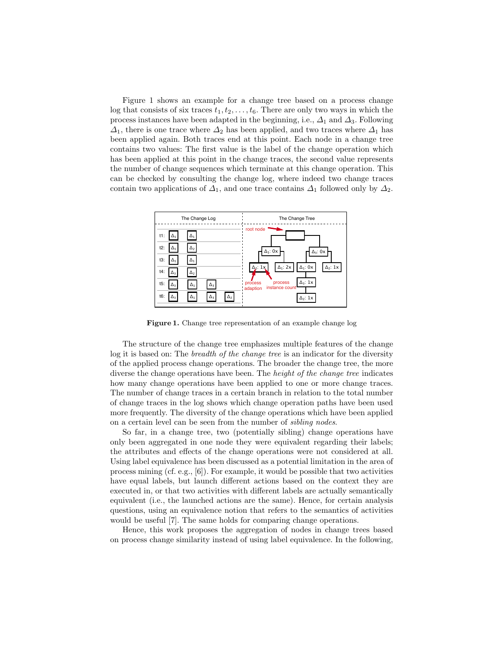Figure 1 shows an example for a change tree based on a process change log that consists of six traces  $t_1, t_2, \ldots, t_6$ . There are only two ways in which the process instances have been adapted in the beginning, i.e.,  $\Delta_1$  and  $\Delta_3$ . Following  $\Delta_1$ , there is one trace where  $\Delta_2$  has been applied, and two traces where  $\Delta_1$  has been applied again. Both traces end at this point. Each node in a change tree contains two values: The first value is the label of the change operation which has been applied at this point in the change traces, the second value represents the number of change sequences which terminate at this change operation. This can be checked by consulting the change log, where indeed two change traces contain two applications of  $\Delta_1$ , and one trace contains  $\Delta_1$  followed only by  $\Delta_2$ .



Figure 1. Change tree representation of an example change log

The structure of the change tree emphasizes multiple features of the change log it is based on: The breadth of the change tree is an indicator for the diversity of the applied process change operations. The broader the change tree, the more diverse the change operations have been. The *height of the change tree* indicates how many change operations have been applied to one or more change traces. The number of change traces in a certain branch in relation to the total number of change traces in the log shows which change operation paths have been used more frequently. The diversity of the change operations which have been applied on a certain level can be seen from the number of sibling nodes.

So far, in a change tree, two (potentially sibling) change operations have only been aggregated in one node they were equivalent regarding their labels; the attributes and effects of the change operations were not considered at all. Using label equivalence has been discussed as a potential limitation in the area of process mining (cf. e.g., [6]). For example, it would be possible that two activities have equal labels, but launch different actions based on the context they are executed in, or that two activities with different labels are actually semantically equivalent (i.e., the launched actions are the same). Hence, for certain analysis questions, using an equivalence notion that refers to the semantics of activities would be useful [7]. The same holds for comparing change operations.

Hence, this work proposes the aggregation of nodes in change trees based on process change similarity instead of using label equivalence. In the following,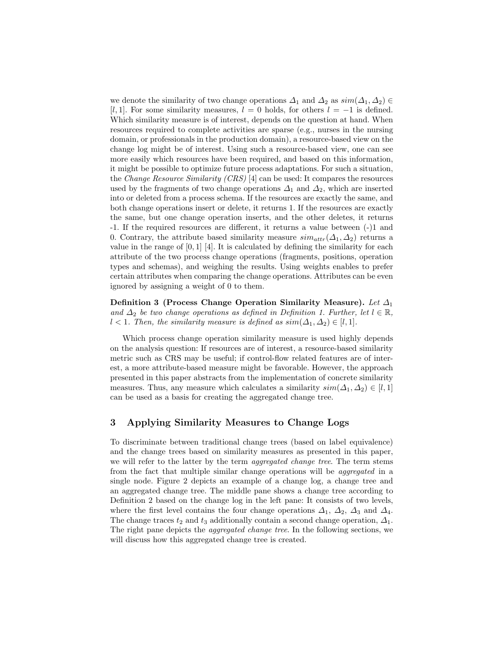we denote the similarity of two change operations  $\Delta_1$  and  $\Delta_2$  as  $sim(\Delta_1, \Delta_2) \in$ [l, 1]. For some similarity measures,  $l = 0$  holds, for others  $l = -1$  is defined. Which similarity measure is of interest, depends on the question at hand. When resources required to complete activities are sparse (e.g., nurses in the nursing domain, or professionals in the production domain), a resource-based view on the change log might be of interest. Using such a resource-based view, one can see more easily which resources have been required, and based on this information, it might be possible to optimize future process adaptations. For such a situation, the Change Resource Similarity (CRS) [4] can be used: It compares the resources used by the fragments of two change operations  $\Delta_1$  and  $\Delta_2$ , which are inserted into or deleted from a process schema. If the resources are exactly the same, and both change operations insert or delete, it returns 1. If the resources are exactly the same, but one change operation inserts, and the other deletes, it returns -1. If the required resources are different, it returns a value between (-)1 and 0. Contrary, the attribute based similarity measure  $sim_{attr}(\Delta_1, \Delta_2)$  returns a value in the range of  $[0, 1]$  [4]. It is calculated by defining the similarity for each attribute of the two process change operations (fragments, positions, operation types and schemas), and weighing the results. Using weights enables to prefer certain attributes when comparing the change operations. Attributes can be even ignored by assigning a weight of 0 to them.

Definition 3 (Process Change Operation Similarity Measure). Let  $\Delta_1$ and  $\Delta_2$  be two change operations as defined in Definition 1. Further, let  $l \in \mathbb{R}$ , l < 1. Then, the similarity measure is defined as  $sim(\Delta_1, \Delta_2) \in [l, 1]$ .

Which process change operation similarity measure is used highly depends on the analysis question: If resources are of interest, a resource-based similarity metric such as CRS may be useful; if control-flow related features are of interest, a more attribute-based measure might be favorable. However, the approach presented in this paper abstracts from the implementation of concrete similarity measures. Thus, any measure which calculates a similarity  $sim(\Delta_1, \Delta_2) \in [l, 1]$ can be used as a basis for creating the aggregated change tree.

### 3 Applying Similarity Measures to Change Logs

To discriminate between traditional change trees (based on label equivalence) and the change trees based on similarity measures as presented in this paper, we will refer to the latter by the term *aggregated change tree*. The term stems from the fact that multiple similar change operations will be aggregated in a single node. Figure 2 depicts an example of a change log, a change tree and an aggregated change tree. The middle pane shows a change tree according to Definition 2 based on the change log in the left pane: It consists of two levels, where the first level contains the four change operations  $\Delta_1$ ,  $\Delta_2$ ,  $\Delta_3$  and  $\Delta_4$ . The change traces  $t_2$  and  $t_3$  additionally contain a second change operation,  $\Delta_1$ . The right pane depicts the aggregated change tree. In the following sections, we will discuss how this aggregated change tree is created.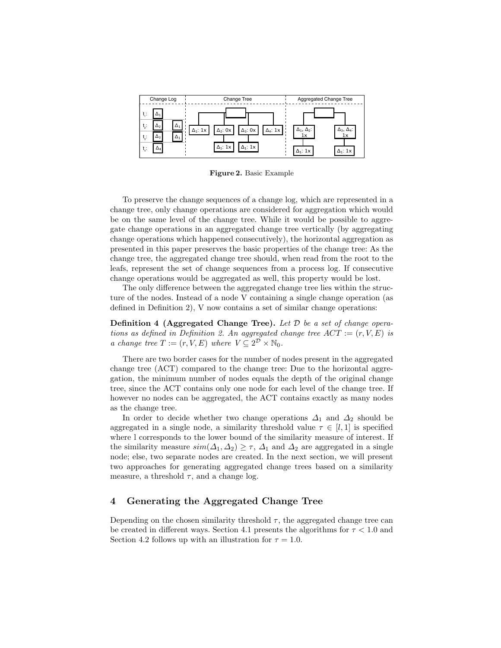| Change Log                                                                                                              | Change Tree                                                                                                    | Aggregated Change Tree                                                                             |  |  |  |
|-------------------------------------------------------------------------------------------------------------------------|----------------------------------------------------------------------------------------------------------------|----------------------------------------------------------------------------------------------------|--|--|--|
| t.:<br>$\mathbf{A}$<br>$t_{2}$ :<br>$\Delta_1$<br>$\Delta_{2}$<br>Δ,<br>$t_{3}$ :<br>$\Delta_1$<br>Δ.<br>$t_{\alpha}$ : | $\Delta_3$ : 0x<br>$\Delta_2$ : 0x<br>$\Delta_4$ : 1x<br>$\Delta_1$ : 1x<br>$\Delta_1$ : 1x<br>$\Delta_1$ : 1x | $\Delta_3, \Delta_4$ :<br>$\Delta_1, \Delta_2$ :<br>1x<br>1x<br>$\Delta_1$ : 1x<br>$\Delta_1$ : 1x |  |  |  |

Figure 2. Basic Example

To preserve the change sequences of a change log, which are represented in a change tree, only change operations are considered for aggregation which would be on the same level of the change tree. While it would be possible to aggregate change operations in an aggregated change tree vertically (by aggregating change operations which happened consecutively), the horizontal aggregation as presented in this paper preserves the basic properties of the change tree: As the change tree, the aggregated change tree should, when read from the root to the leafs, represent the set of change sequences from a process log. If consecutive change operations would be aggregated as well, this property would be lost.

The only difference between the aggregated change tree lies within the structure of the nodes. Instead of a node V containing a single change operation (as defined in Definition 2), V now contains a set of similar change operations:

**Definition 4 (Aggregated Change Tree).** Let  $D$  be a set of change operations as defined in Definition 2. An aggregated change tree  $ACT := (r, V, E)$  is a change tree  $T := (r, V, E)$  where  $V \subseteq 2^D \times \mathbb{N}_0$ .

There are two border cases for the number of nodes present in the aggregated change tree (ACT) compared to the change tree: Due to the horizontal aggregation, the minimum number of nodes equals the depth of the original change tree, since the ACT contains only one node for each level of the change tree. If however no nodes can be aggregated, the ACT contains exactly as many nodes as the change tree.

In order to decide whether two change operations  $\Delta_1$  and  $\Delta_2$  should be aggregated in a single node, a similarity threshold value  $\tau \in [l, 1]$  is specified where l corresponds to the lower bound of the similarity measure of interest. If the similarity measure  $sim(\Delta_1, \Delta_2) \geq \tau$ ,  $\Delta_1$  and  $\Delta_2$  are aggregated in a single node; else, two separate nodes are created. In the next section, we will present two approaches for generating aggregated change trees based on a similarity measure, a threshold  $\tau$ , and a change log.

## 4 Generating the Aggregated Change Tree

Depending on the chosen similarity threshold  $\tau$ , the aggregated change tree can be created in different ways. Section 4.1 presents the algorithms for  $\tau < 1.0$  and Section 4.2 follows up with an illustration for  $\tau = 1.0$ .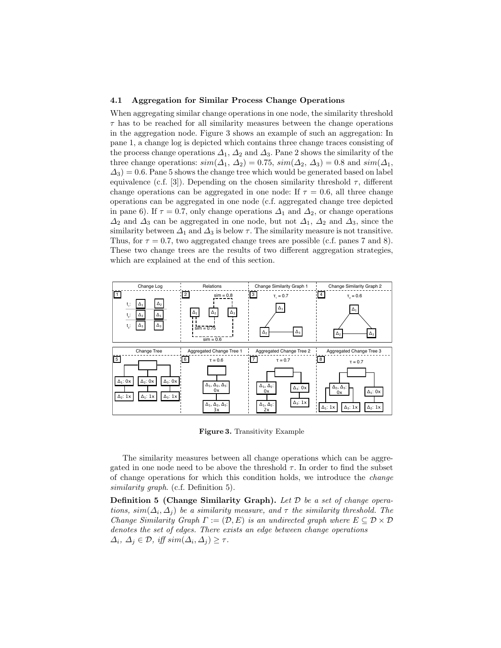#### 4.1 Aggregation for Similar Process Change Operations

When aggregating similar change operations in one node, the similarity threshold  $\tau$  has to be reached for all similarity measures between the change operations in the aggregation node. Figure 3 shows an example of such an aggregation: In pane 1, a change log is depicted which contains three change traces consisting of the process change operations  $\Delta_1$ ,  $\Delta_2$  and  $\Delta_3$ . Pane 2 shows the similarity of the three change operations:  $sim(\Delta_1, \Delta_2) = 0.75$ ,  $sim(\Delta_2, \Delta_3) = 0.8$  and  $sim(\Delta_1, \Delta_2)$  $\Delta_3$ ) = 0.6. Pane 5 shows the change tree which would be generated based on label equivalence (c.f. [3]). Depending on the chosen similarity threshold  $\tau$ , different change operations can be aggregated in one node: If  $\tau = 0.6$ , all three change operations can be aggregated in one node (c.f. aggregated change tree depicted in pane 6). If  $\tau = 0.7$ , only change operations  $\Delta_1$  and  $\Delta_2$ , or change operations  $\Delta_2$  and  $\Delta_3$  can be aggregated in one node, but not  $\Delta_1$ ,  $\Delta_2$  and  $\Delta_3$ , since the similarity between  $\Delta_1$  and  $\Delta_3$  is below  $\tau$ . The similarity measure is not transitive. Thus, for  $\tau = 0.7$ , two aggregated change trees are possible (c.f. panes 7 and 8). These two change trees are the results of two different aggregation strategies, which are explained at the end of this section.



Figure 3. Transitivity Example

The similarity measures between all change operations which can be aggregated in one node need to be above the threshold  $\tau$ . In order to find the subset of change operations for which this condition holds, we introduce the change similarity graph. (c.f. Definition 5).

**Definition 5 (Change Similarity Graph).** Let  $\mathcal{D}$  be a set of change operations,  $sim(\Delta_i, \Delta_j)$  be a similarity measure, and  $\tau$  the similarity threshold. The Change Similarity Graph  $\Gamma := (\mathcal{D}, E)$  is an undirected graph where  $E \subseteq \mathcal{D} \times \mathcal{D}$ denotes the set of edges. There exists an edge between change operations  $\Delta_i$ ,  $\Delta_j \in \mathcal{D}$ , iff  $sim(\Delta_i, \Delta_j) \geq \tau$ .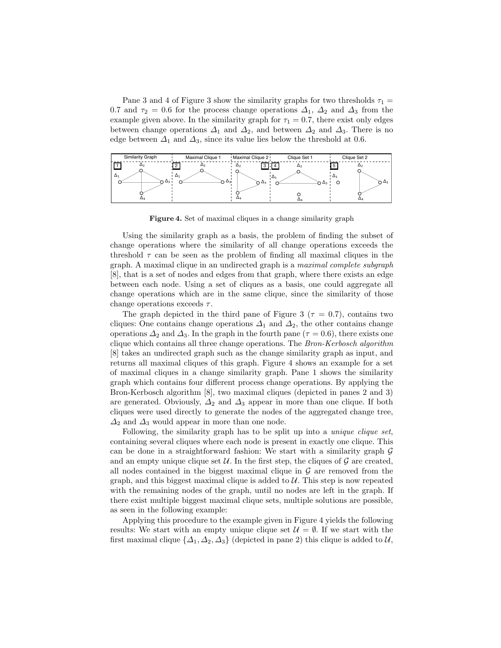Pane 3 and 4 of Figure 3 show the similarity graphs for two thresholds  $\tau_1$  = 0.7 and  $\tau_2 = 0.6$  for the process change operations  $\Delta_1$ ,  $\Delta_2$  and  $\Delta_3$  from the example given above. In the similarity graph for  $\tau_1 = 0.7$ , there exist only edges between change operations  $\Delta_1$  and  $\Delta_2$ , and between  $\Delta_2$  and  $\Delta_3$ . There is no edge between  $\Delta_1$  and  $\Delta_3$ , since its value lies below the threshold at 0.6.



Figure 4. Set of maximal cliques in a change similarity graph

Using the similarity graph as a basis, the problem of finding the subset of change operations where the similarity of all change operations exceeds the threshold  $\tau$  can be seen as the problem of finding all maximal cliques in the graph. A maximal clique in an undirected graph is a maximal complete subgraph [8], that is a set of nodes and edges from that graph, where there exists an edge between each node. Using a set of cliques as a basis, one could aggregate all change operations which are in the same clique, since the similarity of those change operations exceeds  $\tau$ .

The graph depicted in the third pane of Figure 3 ( $\tau = 0.7$ ), contains two cliques: One contains change operations  $\Delta_1$  and  $\Delta_2$ , the other contains change operations  $\Delta_2$  and  $\Delta_3$ . In the graph in the fourth pane ( $\tau = 0.6$ ), there exists one clique which contains all three change operations. The Bron-Kerbosch algorithm [8] takes an undirected graph such as the change similarity graph as input, and returns all maximal cliques of this graph. Figure 4 shows an example for a set of maximal cliques in a change similarity graph. Pane 1 shows the similarity graph which contains four different process change operations. By applying the Bron-Kerbosch algorithm [8], two maximal cliques (depicted in panes 2 and 3) are generated. Obviously,  $\Delta_2$  and  $\Delta_3$  appear in more than one clique. If both cliques were used directly to generate the nodes of the aggregated change tree,  $\Delta_2$  and  $\Delta_3$  would appear in more than one node.

Following, the similarity graph has to be split up into a *unique clique set*, containing several cliques where each node is present in exactly one clique. This can be done in a straightforward fashion: We start with a similarity graph  $\mathcal G$ and an empty unique clique set  $\mathcal{U}$ . In the first step, the cliques of  $\mathcal{G}$  are created, all nodes contained in the biggest maximal clique in  $\mathcal G$  are removed from the graph, and this biggest maximal clique is added to  $U$ . This step is now repeated with the remaining nodes of the graph, until no nodes are left in the graph. If there exist multiple biggest maximal clique sets, multiple solutions are possible, as seen in the following example:

Applying this procedure to the example given in Figure 4 yields the following results: We start with an empty unique clique set  $\mathcal{U} = \emptyset$ . If we start with the first maximal clique  $\{\Delta_1, \Delta_2, \Delta_3\}$  (depicted in pane 2) this clique is added to  $\mathcal{U}$ ,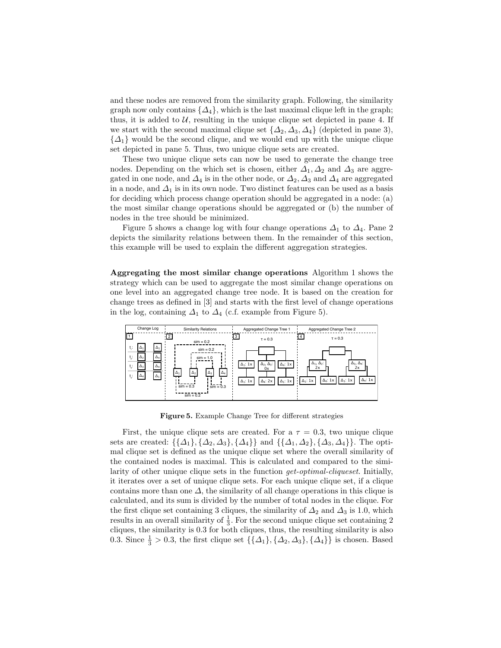and these nodes are removed from the similarity graph. Following, the similarity graph now only contains  $\{\Delta_4\}$ , which is the last maximal clique left in the graph; thus, it is added to  $U$ , resulting in the unique clique set depicted in pane 4. If we start with the second maximal clique set  $\{\Delta_2, \Delta_3, \Delta_4\}$  (depicted in pane 3),  ${\{\Delta_1\}}$  would be the second clique, and we would end up with the unique clique set depicted in pane 5. Thus, two unique clique sets are created.

These two unique clique sets can now be used to generate the change tree nodes. Depending on the which set is chosen, either  $\Delta_1, \Delta_2$  and  $\Delta_3$  are aggregated in one node, and  $\Delta_4$  is in the other node, or  $\Delta_2$ ,  $\Delta_3$  and  $\Delta_4$  are aggregated in a node, and  $\Delta_1$  is in its own node. Two distinct features can be used as a basis for deciding which process change operation should be aggregated in a node: (a) the most similar change operations should be aggregated or (b) the number of nodes in the tree should be minimized.

Figure 5 shows a change log with four change operations  $\Delta_1$  to  $\Delta_4$ . Pane 2 depicts the similarity relations between them. In the remainder of this section, this example will be used to explain the different aggregation strategies.

Aggregating the most similar change operations Algorithm 1 shows the strategy which can be used to aggregate the most similar change operations on one level into an aggregated change tree node. It is based on the creation for change trees as defined in [3] and starts with the first level of change operations in the log, containing  $\Delta_1$  to  $\Delta_4$  (c.f. example from Figure 5).



Figure 5. Example Change Tree for different strategies

First, the unique clique sets are created. For a  $\tau = 0.3$ , two unique clique sets are created:  $\{\{\Delta_1\}, \{\Delta_2, \Delta_3\}, \{\Delta_4\}\}\$  and  $\{\{\Delta_1, \Delta_2\}, \{\Delta_3, \Delta_4\}\}\$ . The optimal clique set is defined as the unique clique set where the overall similarity of the contained nodes is maximal. This is calculated and compared to the similarity of other unique clique sets in the function get-optimal-cliqueset. Initially, it iterates over a set of unique clique sets. For each unique clique set, if a clique contains more than one  $\Delta$ , the similarity of all change operations in this clique is calculated, and its sum is divided by the number of total nodes in the clique. For the first clique set containing 3 cliques, the similarity of  $\Delta_2$  and  $\Delta_3$  is 1.0, which results in an overall similarity of  $\frac{1}{3}$ . For the second unique clique set containing 2 cliques, the similarity is 0.3 for both cliques, thus, the resulting similarity is also 0.3. Since  $\frac{1}{3} > 0.3$ , the first clique set  $\{\{\Delta_1\}, \{\Delta_2, \Delta_3\}, \{\Delta_4\}\}\$ is chosen. Based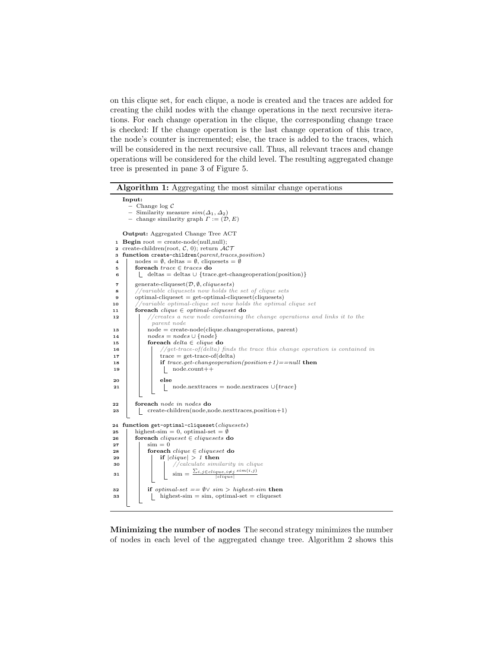on this clique set, for each clique, a node is created and the traces are added for creating the child nodes with the change operations in the next recursive iterations. For each change operation in the clique, the corresponding change trace is checked: If the change operation is the last change operation of this trace, the node's counter is incremented; else, the trace is added to the traces, which will be considered in the next recursive call. Thus, all relevant traces and change operations will be considered for the child level. The resulting aggregated change tree is presented in pane 3 of Figure 5.

Algorithm 1: Aggregating the most similar change operations

|    | Input:                                                                                |  |  |  |  |  |  |  |  |
|----|---------------------------------------------------------------------------------------|--|--|--|--|--|--|--|--|
|    | $-$ Change log $\mathcal C$                                                           |  |  |  |  |  |  |  |  |
|    | - Similarity measure $sim(\Delta_1, \Delta_2)$                                        |  |  |  |  |  |  |  |  |
|    | - change similarity graph $\Gamma := (\mathcal{D}, E)$                                |  |  |  |  |  |  |  |  |
|    |                                                                                       |  |  |  |  |  |  |  |  |
|    | <b>Output:</b> Aggregated Change Tree ACT                                             |  |  |  |  |  |  |  |  |
|    | <b>1 Begin</b> root = create-node(null,null);                                         |  |  |  |  |  |  |  |  |
|    | <b>2</b> create-children(root, C, 0); return $\mathcal{ACT}$                          |  |  |  |  |  |  |  |  |
| 3  | function create-children(parent, traces, position)                                    |  |  |  |  |  |  |  |  |
| Δ  | $\mu$ nodes = $\emptyset$ , deltas = $\emptyset$ , cliquesets = $\emptyset$           |  |  |  |  |  |  |  |  |
| 5  | foreach $trace \in traces$ do                                                         |  |  |  |  |  |  |  |  |
| 6  | $\lfloor$ deltas = deltas $\cup$ {trace.get-change operation (position)}              |  |  |  |  |  |  |  |  |
| 7  | generate-cliqueset $(\mathcal{D}, \emptyset, cliquesets)$                             |  |  |  |  |  |  |  |  |
| 8  | //variable cliquesets now holds the set of clique sets                                |  |  |  |  |  |  |  |  |
| 9  | $optimal-cliqueset = get-optimal-cliqueset(cliquesets)$                               |  |  |  |  |  |  |  |  |
| 10 | $// variable optimal-clique set now holds the optimal clique set$                     |  |  |  |  |  |  |  |  |
| 11 | foreach clique $\in$ optimal-cliqueset do                                             |  |  |  |  |  |  |  |  |
| 12 | $// \textit{creates a new node containing the change operations and links it to the}$ |  |  |  |  |  |  |  |  |
| 13 | parent node                                                                           |  |  |  |  |  |  |  |  |
| 14 | $node = create-node(clique.change operations, parent)$                                |  |  |  |  |  |  |  |  |
| 15 | $nodes = nodes \cup \{node\}$<br>foreach $delta \in clique$ do                        |  |  |  |  |  |  |  |  |
| 16 | //get-trace-of(delta) finds the trace this change operation is contained in           |  |  |  |  |  |  |  |  |
| 17 | $trace = get\text{-}trace\text{-}of(delta)$                                           |  |  |  |  |  |  |  |  |
| 18 | if trace.get-changeoperation(position+1)==null then                                   |  |  |  |  |  |  |  |  |
| 19 | $node.count++$                                                                        |  |  |  |  |  |  |  |  |
|    |                                                                                       |  |  |  |  |  |  |  |  |
| 20 | else                                                                                  |  |  |  |  |  |  |  |  |
| 21 | $node.nexttraces = node.nextraces \cup \{trace\}$                                     |  |  |  |  |  |  |  |  |
|    |                                                                                       |  |  |  |  |  |  |  |  |
| 22 | foreach node in nodes do                                                              |  |  |  |  |  |  |  |  |
| 23 | $create\text{-children}(\text{node}.\text{node}.\text{nexttraces},\text{position}+1)$ |  |  |  |  |  |  |  |  |
|    |                                                                                       |  |  |  |  |  |  |  |  |
| 24 | function get-optimal-cliqueset (cliquesets)                                           |  |  |  |  |  |  |  |  |
| 25 | highest-sim = 0, optimal-set = $\emptyset$                                            |  |  |  |  |  |  |  |  |
| 26 | foreach <i>cliqueset</i> $\in$ <i>cliquesets</i> do                                   |  |  |  |  |  |  |  |  |
| 27 | $\sin = 0$                                                                            |  |  |  |  |  |  |  |  |
| 28 | foreach $clique \in cliqueset$ do                                                     |  |  |  |  |  |  |  |  |
| 29 | if $ clique  > 1$ then                                                                |  |  |  |  |  |  |  |  |
| 30 | // calculate similarity in clique                                                     |  |  |  |  |  |  |  |  |
| 31 | $\text{sim} = \frac{\sum_{i,j \in clique, i \neq j} sim(i,j)}{ clique }$              |  |  |  |  |  |  |  |  |
|    |                                                                                       |  |  |  |  |  |  |  |  |
| 32 | if <i>optimal-set</i> == $\emptyset \vee sim$ > <i>highest-sim</i> then               |  |  |  |  |  |  |  |  |
| 33 | highest-sim $=$ sim, optimal-set $=$ cliqueset                                        |  |  |  |  |  |  |  |  |
|    |                                                                                       |  |  |  |  |  |  |  |  |
|    |                                                                                       |  |  |  |  |  |  |  |  |

Minimizing the number of nodes The second strategy minimizes the number of nodes in each level of the aggregated change tree. Algorithm 2 shows this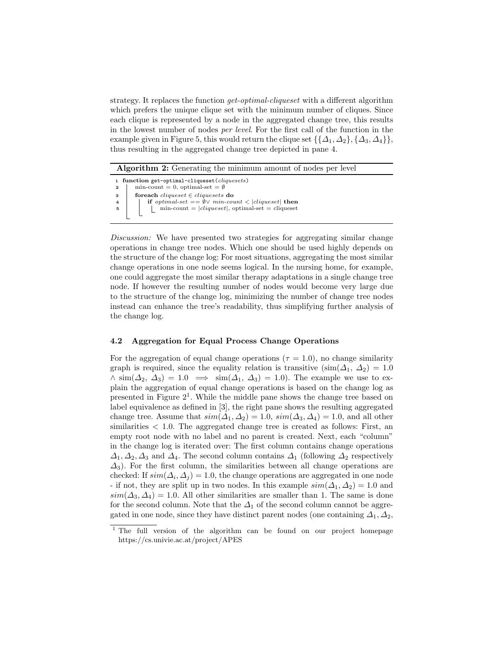strategy. It replaces the function *get-optimal-cliqueset* with a different algorithm which prefers the unique clique set with the minimum number of cliques. Since each clique is represented by a node in the aggregated change tree, this results in the lowest number of nodes per level. For the first call of the function in the example given in Figure 5, this would return the clique set  $\{\{\Delta_1, \Delta_2\}, \{\Delta_3, \Delta_4\}\}\,$ thus resulting in the aggregated change tree depicted in pane 4.

| <b>Algorithm 2:</b> Generating the minimum amount of nodes per level |  |  |  |  |  |  |  |  |
|----------------------------------------------------------------------|--|--|--|--|--|--|--|--|
|----------------------------------------------------------------------|--|--|--|--|--|--|--|--|

| 1 function get-optimal-cliqueset (cliquesets) |                                                                                 |  |  |  |  |
|-----------------------------------------------|---------------------------------------------------------------------------------|--|--|--|--|
| $\mathbf{2}$                                  | min-count = 0, optimal-set = $\emptyset$                                        |  |  |  |  |
| 3                                             | for each <i>cliqueset</i> $\in$ <i>cliquesets</i> do                            |  |  |  |  |
| 4                                             | if <i>optimal-set</i> == $\emptyset \vee min\text{-}count$ < $ cliqueset $ then |  |  |  |  |
| 5                                             | $\text{min-count} =  cliqueset $ , optimal-set = cliqueset                      |  |  |  |  |
|                                               |                                                                                 |  |  |  |  |

Discussion: We have presented two strategies for aggregating similar change operations in change tree nodes. Which one should be used highly depends on the structure of the change log: For most situations, aggregating the most similar change operations in one node seems logical. In the nursing home, for example, one could aggregate the most similar therapy adaptations in a single change tree node. If however the resulting number of nodes would become very large due to the structure of the change log, minimizing the number of change tree nodes instead can enhance the tree's readability, thus simplifying further analysis of the change log.

#### 4.2 Aggregation for Equal Process Change Operations

For the aggregation of equal change operations ( $\tau = 1.0$ ), no change similarity graph is required, since the equality relation is transitive  $(\text{sim}(\Delta_1, \Delta_2) = 1.0$  $\wedge \sin(\Delta_2, \Delta_3) = 1.0 \implies \sin(\Delta_1, \Delta_3) = 1.0$ . The example we use to explain the aggregation of equal change operations is based on the change log as presented in Figure 2<sup>1</sup> . While the middle pane shows the change tree based on label equivalence as defined in [3], the right pane shows the resulting aggregated change tree. Assume that  $sim(\Delta_1, \Delta_2) = 1.0$ ,  $sim(\Delta_3, \Delta_4) = 1.0$ , and all other similarities  $< 1.0$ . The aggregated change tree is created as follows: First, an empty root node with no label and no parent is created. Next, each "column" in the change log is iterated over: The first column contains change operations  $\Delta_1, \Delta_2, \Delta_3$  and  $\Delta_4$ . The second column contains  $\Delta_1$  (following  $\Delta_2$  respectively  $\Delta_3$ ). For the first column, the similarities between all change operations are checked: If  $sim(\Delta_i, \Delta_j) = 1.0$ , the change operations are aggregated in one node - if not, they are split up in two nodes. In this example  $sim(\Delta_1, \Delta_2) = 1.0$  and  $sim(\Delta_3, \Delta_4) = 1.0$ . All other similarities are smaller than 1. The same is done for the second column. Note that the  $\Delta_1$  of the second column cannot be aggregated in one node, since they have distinct parent nodes (one containing  $\Delta_1, \Delta_2$ ,

<sup>&</sup>lt;sup>1</sup> The full version of the algorithm can be found on our project homepage https://cs.univie.ac.at/project/APES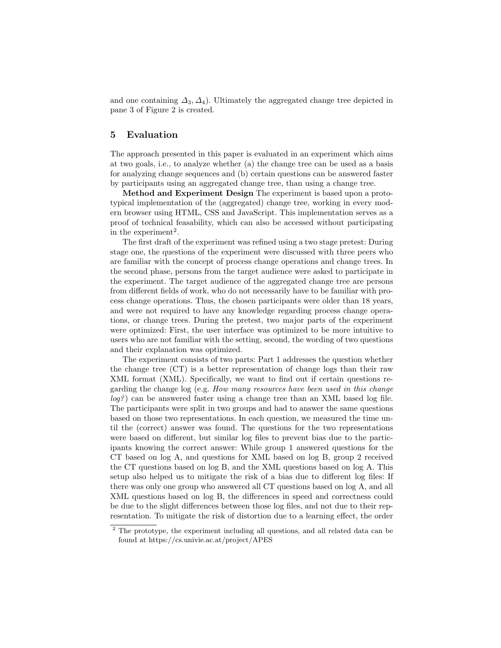and one containing  $\Delta_3, \Delta_4$ ). Ultimately the aggregated change tree depicted in pane 3 of Figure 2 is created.

## 5 Evaluation

The approach presented in this paper is evaluated in an experiment which aims at two goals, i.e., to analyze whether (a) the change tree can be used as a basis for analyzing change sequences and (b) certain questions can be answered faster by participants using an aggregated change tree, than using a change tree.

Method and Experiment Design The experiment is based upon a prototypical implementation of the (aggregated) change tree, working in every modern browser using HTML, CSS and JavaScript. This implementation serves as a proof of technical feasability, which can also be accessed without participating in the experiment<sup>2</sup>.

The first draft of the experiment was refined using a two stage pretest: During stage one, the questions of the experiment were discussed with three peers who are familiar with the concept of process change operations and change trees. In the second phase, persons from the target audience were asked to participate in the experiment. The target audience of the aggregated change tree are persons from different fields of work, who do not necessarily have to be familiar with process change operations. Thus, the chosen participants were older than 18 years, and were not required to have any knowledge regarding process change operations, or change trees. During the pretest, two major parts of the experiment were optimized: First, the user interface was optimized to be more intuitive to users who are not familiar with the setting, second, the wording of two questions and their explanation was optimized.

The experiment consists of two parts: Part 1 addresses the question whether the change tree (CT) is a better representation of change logs than their raw XML format (XML). Specifically, we want to find out if certain questions regarding the change  $log (e.g. How many resources have been used in this change)$ log?) can be answered faster using a change tree than an XML based log file. The participants were split in two groups and had to answer the same questions based on those two representations. In each question, we measured the time until the (correct) answer was found. The questions for the two representations were based on different, but similar log files to prevent bias due to the participants knowing the correct answer: While group 1 answered questions for the CT based on log A, and questions for XML based on log B, group 2 received the CT questions based on log B, and the XML questions based on log A. This setup also helped us to mitigate the risk of a bias due to different log files: If there was only one group who answered all CT questions based on log A, and all XML questions based on log B, the differences in speed and correctness could be due to the slight differences between those log files, and not due to their representation. To mitigate the risk of distortion due to a learning effect, the order

<sup>2</sup> The prototype, the experiment including all questions, and all related data can be found at https://cs.univie.ac.at/project/APES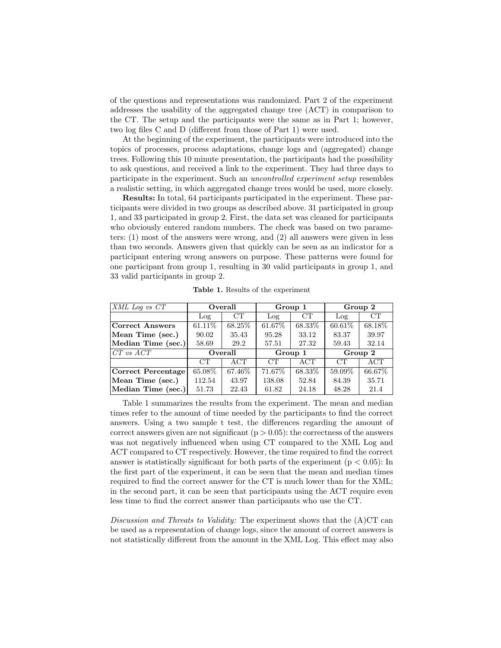of the questions and representations was randomized. Part 2 of the experiment addresses the usability of the aggregated change tree (ACT) in comparison to the CT. The setup and the participants were the same as in Part 1; however, two log files C and D (different from those of Part 1) were used.

At the beginning of the experiment, the participants were introduced into the topics of processes, process adaptations, change logs and (aggregated) change trees. Following this 10 minute presentation, the participants had the possibility to ask questions, and received a link to the experiment. They had three days to participate in the experiment. Such an uncontrolled experiment setup resembles a realistic setting, in which aggregated change trees would be used, more closely.

Results: In total, 64 participants participated in the experiment. These participants were divided in two groups as described above. 31 participated in group 1, and 33 participated in group 2. First, the data set was cleaned for participants who obviously entered random numbers. The check was based on two parameters: (1) most of the answers were wrong, and (2) all answers were given in less than two seconds. Answers given that quickly can be seen as an indicator for a participant entering wrong answers on purpose. These patterns were found for one participant from group 1, resulting in 30 valid participants in group 1, and 33 valid participants in group 2.

| $\overline{XML}$ Log vs $CT$ | Overall |           | Group 1 |         | Group 2 |        |  |
|------------------------------|---------|-----------|---------|---------|---------|--------|--|
|                              | Log     | CT        | Log     | CT      | Log     | CT     |  |
| <b>Correct Answers</b>       | 61.11\% | 68.25%    | 61.67%  | 68.33%  | 60.61%  | 68.18% |  |
| Mean Time (sec.)             | 90.02   | 35.43     | 95.28   | 33.12   | 83.37   | 39.97  |  |
| Median Time (sec.)           | 58.69   | 29.2      | 57.51   | 27.32   | 59.43   | 32.14  |  |
| $CT \text{ vs } ACT$         | Overall |           | Group 1 |         | Group 2 |        |  |
|                              | CT      | ACT       | CT      | ACT     | CT      | ACT    |  |
| Correct Percentage           | 65.08%  | $67.46\%$ | 71.67%  | 68.33\% | 59.09%  | 66.67% |  |
| Mean Time (sec.)             | 112.54  | 43.97     | 138.08  | 52.84   | 84.39   | 35.71  |  |
| Median Time (sec.)           | 51.73   | 22.43     | 61.82   | 24.18   | 48.28   | 21.4   |  |

Table 1. Results of the experiment

Table 1 summarizes the results from the experiment. The mean and median times refer to the amount of time needed by the participants to find the correct answers. Using a two sample t test, the differences regarding the amount of correct answers given are not significant  $(p > 0.05)$ : the correctness of the answers was not negatively influenced when using CT compared to the XML Log and ACT compared to CT respectively. However, the time required to find the correct answer is statistically significant for both parts of the experiment ( $p < 0.05$ ): In the first part of the experiment, it can be seen that the mean and median times required to find the correct answer for the CT is much lower than for the XML; in the second part, it can be seen that participants using the ACT require even less time to find the correct answer than participants who use the CT.

Discussion and Threats to Validity: The experiment shows that the (A)CT can be used as a representation of change logs, since the amount of correct answers is not statistically different from the amount in the XML Log. This effect may also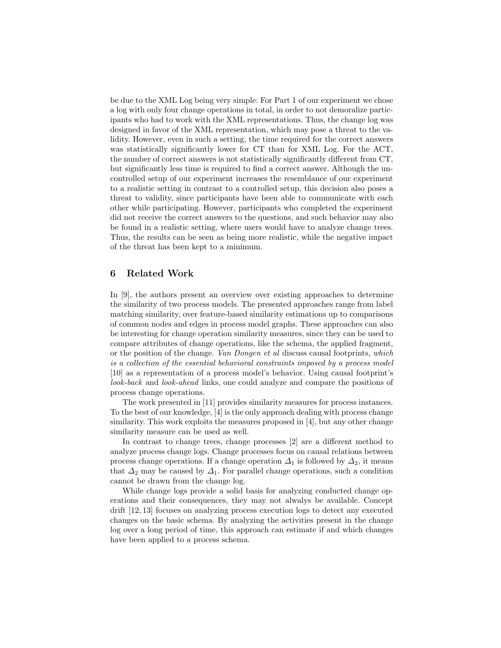be due to the XML Log being very simple: For Part 1 of our experiment we chose a log with only four change operations in total, in order to not demoralize participants who had to work with the XML representations. Thus, the change log was designed in favor of the XML representation, which may pose a threat to the validity. However, even in such a setting, the time required for the correct answers was statistically significantly lower for CT than for XML Log. For the ACT, the number of correct answers is not statistically significantly different from CT, but significantly less time is required to find a correct answer. Although the uncontrolled setup of our experiment increases the resemblance of our experiment to a realistic setting in contrast to a controlled setup, this decision also poses a threat to validity, since participants have been able to communicate with each other while participating. However, participants who completed the experiment did not receive the correct answers to the questions, and such behavior may also be found in a realistic setting, where users would have to analyze change trees. Thus, the results can be seen as being more realistic, while the negative impact of the threat has been kept to a minimum.

#### 6 Related Work

In [9], the authors present an overview over existing approaches to determine the similarity of two process models. The presented approaches range from label matching similarity, over feature-based similarity estimations up to comparisons of common nodes and edges in process model graphs. These approaches can also be interesting for change operation similarity measures, since they can be used to compare attributes of change operations, like the schema, the applied fragment, or the position of the change. Van Dongen et al discuss causal footprints, which is a collection of the essential behavioral constraints imposed by a process model [10] as a representation of a process model's behavior. Using causal footprint's look-back and look-ahead links, one could analyze and compare the positions of process change operations.

The work presented in [11] provides similarity measures for process instances. To the best of our knowledge, [4] is the only approach dealing with process change similarity. This work exploits the measures proposed in [4], but any other change similarity measure can be used as well.

In contrast to change trees, change processes [2] are a different method to analyze process change logs. Change processes focus on causal relations between process change operations. If a change operation  $\Delta_1$  is followed by  $\Delta_2$ , it means that  $\Delta_2$  may be caused by  $\Delta_1$ . For parallel change operations, such a condition cannot be drawn from the change log.

While change logs provide a solid basis for analyzing conducted change operations and their consequences, they may not alwalys be available. Concept drift [12, 13] focuses on analyzing process execution logs to detect any executed changes on the basic schema. By analyzing the activities present in the change log over a long period of time, this approach can estimate if and which changes have been applied to a process schema.